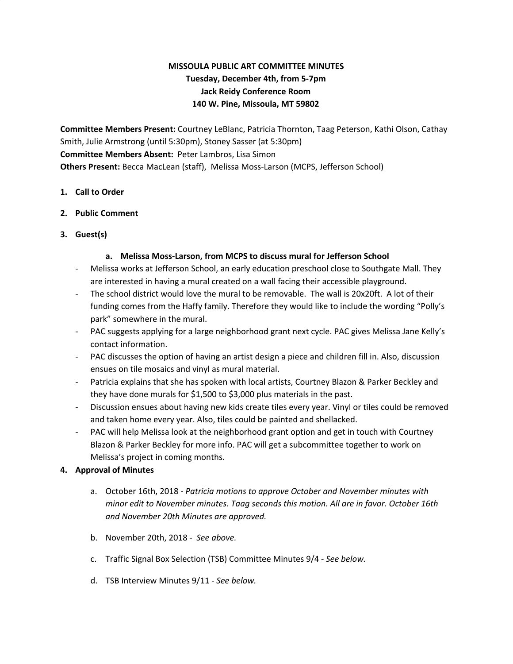# **MISSOULA PUBLIC ART COMMITTEE MINUTES Tuesday, December 4th, from 5-7pm Jack Reidy Conference Room 140 W. Pine, Missoula, MT 59802**

**Committee Members Present:** Courtney LeBlanc, Patricia Thornton, Taag Peterson, Kathi Olson, Cathay Smith, Julie Armstrong (until 5:30pm), Stoney Sasser (at 5:30pm) **Committee Members Absent:** Peter Lambros, Lisa Simon **Others Present:** Becca MacLean (staff), Melissa Moss-Larson (MCPS, Jefferson School)

#### **1. Call to Order**

# **2. Public Comment**

**3. Guest(s)**

# **a. Melissa Moss-Larson, from MCPS to discuss mural for Jefferson School**

- Melissa works at Jefferson School, an early education preschool close to Southgate Mall. They are interested in having a mural created on a wall facing their accessible playground.
- The school district would love the mural to be removable. The wall is 20x20ft. A lot of their funding comes from the Haffy family. Therefore they would like to include the wording "Polly's park" somewhere in the mural.
- PAC suggests applying for a large neighborhood grant next cycle. PAC gives Melissa Jane Kelly's contact information.
- PAC discusses the option of having an artist design a piece and children fill in. Also, discussion ensues on tile mosaics and vinyl as mural material.
- Patricia explains that she has spoken with local artists, Courtney Blazon & Parker Beckley and they have done murals for \$1,500 to \$3,000 plus materials in the past.
- Discussion ensues about having new kids create tiles every year. Vinyl or tiles could be removed and taken home every year. Also, tiles could be painted and shellacked.
- PAC will help Melissa look at the neighborhood grant option and get in touch with Courtney Blazon & Parker Beckley for more info. PAC will get a subcommittee together to work on Melissa's project in coming months.

# **4. Approval of Minutes**

- a. October 16th, 2018 *Patricia motions to approve October and November minutes with minor edit to November minutes. Taag seconds this motion. All are in favor. October 16th and November 20th Minutes are approved.*
- b. November 20th, 2018 *See above.*
- c. Traffic Signal Box Selection (TSB) Committee Minutes 9/4 *See below.*
- d. TSB Interview Minutes 9/11 *See below.*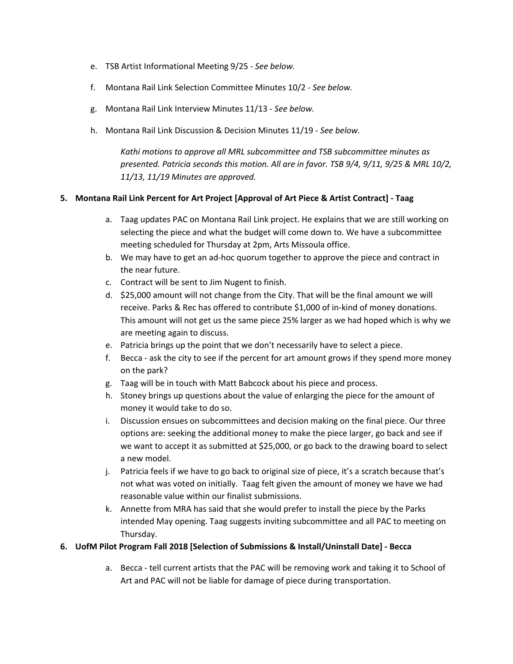- e. TSB Artist Informational Meeting 9/25 *See below.*
- f. Montana Rail Link Selection Committee Minutes 10/2 *See below.*
- g. Montana Rail Link Interview Minutes 11/13 *See below.*
- h. Montana Rail Link Discussion & Decision Minutes 11/19 *See below.*

*Kathi motions to approve all MRL subcommittee and TSB subcommittee minutes as presented. Patricia seconds this motion. All are in favor. TSB 9/4, 9/11, 9/25 & MRL 10/2, 11/13, 11/19 Minutes are approved.*

# **5. Montana Rail Link Percent for Art Project [Approval of Art Piece & Artist Contract] - Taag**

- a. Taag updates PAC on Montana Rail Link project. He explains that we are still working on selecting the piece and what the budget will come down to. We have a subcommittee meeting scheduled for Thursday at 2pm, Arts Missoula office.
- b. We may have to get an ad-hoc quorum together to approve the piece and contract in the near future.
- c. Contract will be sent to Jim Nugent to finish.
- d. \$25,000 amount will not change from the City. That will be the final amount we will receive. Parks & Rec has offered to contribute \$1,000 of in-kind of money donations. This amount will not get us the same piece 25% larger as we had hoped which is why we are meeting again to discuss.
- e. Patricia brings up the point that we don't necessarily have to select a piece.
- f. Becca ask the city to see if the percent for art amount grows if they spend more money on the park?
- g. Taag will be in touch with Matt Babcock about his piece and process.
- h. Stoney brings up questions about the value of enlarging the piece for the amount of money it would take to do so.
- i. Discussion ensues on subcommittees and decision making on the final piece. Our three options are: seeking the additional money to make the piece larger, go back and see if we want to accept it as submitted at \$25,000, or go back to the drawing board to select a new model.
- j. Patricia feels if we have to go back to original size of piece, it's a scratch because that's not what was voted on initially. Taag felt given the amount of money we have we had reasonable value within our finalist submissions.
- k. Annette from MRA has said that she would prefer to install the piece by the Parks intended May opening. Taag suggests inviting subcommittee and all PAC to meeting on Thursday.

#### **6. UofM Pilot Program Fall 2018 [Selection of Submissions & Install/Uninstall Date] - Becca**

a. Becca - tell current artists that the PAC will be removing work and taking it to School of Art and PAC will not be liable for damage of piece during transportation.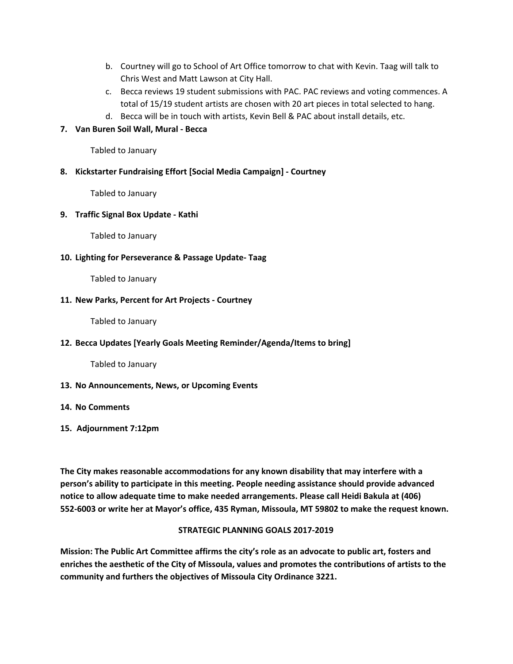- b. Courtney will go to School of Art Office tomorrow to chat with Kevin. Taag will talk to Chris West and Matt Lawson at City Hall.
- c. Becca reviews 19 student submissions with PAC. PAC reviews and voting commences. A total of 15/19 student artists are chosen with 20 art pieces in total selected to hang.
- d. Becca will be in touch with artists, Kevin Bell & PAC about install details, etc.

# **7. Van Buren Soil Wall, Mural - Becca**

Tabled to January

#### **8. Kickstarter Fundraising Effort [Social Media Campaign] - Courtney**

Tabled to January

# **9. Traffic Signal Box Update - Kathi**

Tabled to January

#### **10. Lighting for Perseverance & Passage Update- Taag**

Tabled to January

# **11. New Parks, Percent for Art Projects - Courtney**

Tabled to January

#### **12. Becca Updates [Yearly Goals Meeting Reminder/Agenda/Items to bring]**

Tabled to January

#### **13. No Announcements, News, or Upcoming Events**

#### **14. No Comments**

**15. Adjournment 7:12pm**

**The City makes reasonable accommodations for any known disability that may interfere with a person's ability to participate in this meeting. People needing assistance should provide advanced notice to allow adequate time to make needed arrangements. Please call Heidi Bakula at (406) 552-6003 or write her at Mayor's office, 435 Ryman, Missoula, MT 59802 to make the request known.**

# **STRATEGIC PLANNING GOALS 2017-2019**

**Mission: The Public Art Committee affirms the city's role as an advocate to public art, fosters and enriches the aesthetic of the City of Missoula, values and promotes the contributions of artists to the community and furthers the objectives of Missoula City Ordinance 3221.**